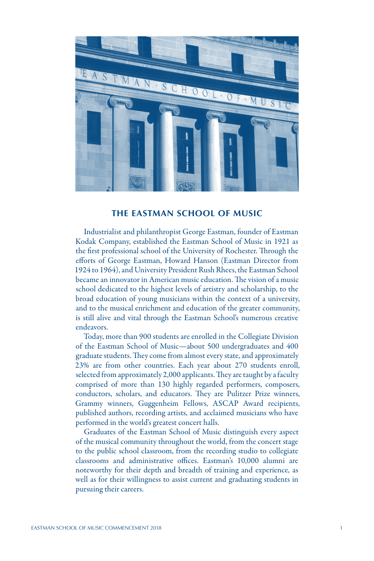

### **THE EASTMAN SCHOOL OF MUSIC**

Industrialist and philanthropist George Eastman, founder of Eastman Kodak Company, established the Eastman School of Music in 1921 as the first professional school of the University of Rochester. Through the efforts of George Eastman, Howard Hanson (Eastman Director from 1924 to 1964), and University President Rush Rhees, the Eastman School became an innovator in American music education. The vision of a music school dedicated to the highest levels of artistry and scholarship, to the broad education of young musicians within the context of a university, and to the musical enrichment and education of the greater community, is still alive and vital through the Eastman School's numerous creative endeavors.

Today, more than 900 students are enrolled in the Collegiate Division of the Eastman School of Music—about 500 undergraduates and 400 graduate students. They come from almost every state, and approximately 23% are from other countries. Each year about 270 students enroll, selected from approximately 2,000 applicants. They are taught by a faculty comprised of more than 130 highly regarded performers, composers, conductors, scholars, and educators. They are Pulitzer Prize winners, Grammy winners, Guggenheim Fellows, ASCAP Award recipients, published authors, recording artists, and acclaimed musicians who have performed in the world's greatest concert halls.

Graduates of the Eastman School of Music distinguish every aspect of the musical community throughout the world, from the concert stage to the public school classroom, from the recording studio to collegiate classrooms and administrative offices. Eastman's 10,000 alumni are noteworthy for their depth and breadth of training and experience, as well as for their willingness to assist current and graduating students in pursuing their careers.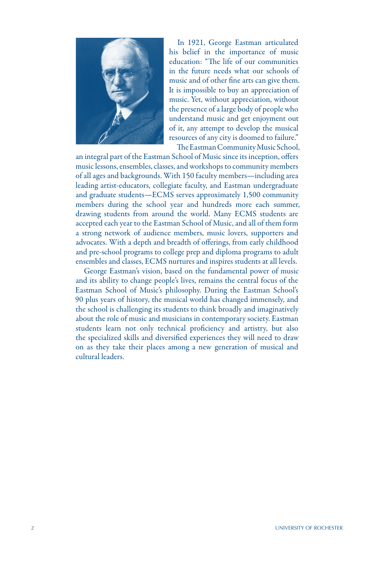

In 1921, George Eastman articulated his belief in the importance of music education: "The life of our communities in the future needs what our schools of music and of other fine arts can give them. It is impossible to buy an appreciation of music. Yet, without appreciation, without the presence of a large body of people who understand music and get enjoyment out of it, any attempt to develop the musical resources of any city is doomed to failure." The Eastman Community Music School,

an integral part of the Eastman School of Music since its inception, offers music lessons, ensembles, classes, and workshops to community members of all ages and backgrounds. With 150 faculty members—including area leading artist-educators, collegiate faculty, and Eastman undergraduate and graduate students—ECMS serves approximately 1,500 community members during the school year and hundreds more each summer, drawing students from around the world. Many ECMS students are accepted each year to the Eastman School of Music, and all of them form a strong network of audience members, music lovers, supporters and advocates. With a depth and breadth of offerings, from early childhood and pre-school programs to college prep and diploma programs to adult ensembles and classes, ECMS nurtures and inspires students at all levels.

George Eastman's vision, based on the fundamental power of music and its ability to change people's lives, remains the central focus of the Eastman School of Music's philosophy. During the Eastman School's 90 plus years of history, the musical world has changed immensely, and the school is challenging its students to think broadly and imaginatively about the role of music and musicians in contemporary society. Eastman students learn not only technical proficiency and artistry, but also the specialized skills and diversified experiences they will need to draw on as they take their places among a new generation of musical and cultural leaders.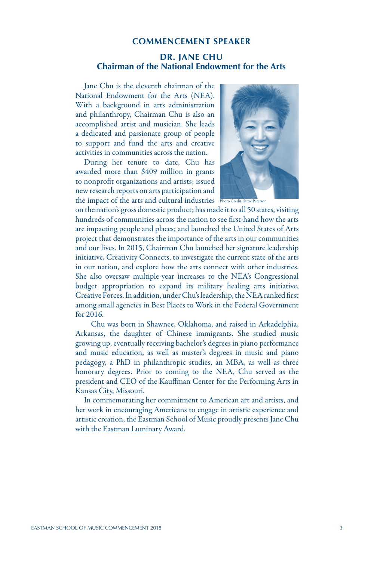### **COMMENCEMENT SPEAKER**

# **DR. JANE CHU Chairman of the National Endowment for the Arts**

Jane Chu is the eleventh chairman of the National Endowment for the Arts (NEA). With a background in arts administration and philanthropy, Chairman Chu is also an accomplished artist and musician. She leads a dedicated and passionate group of people to support and fund the arts and creative activities in communities across the nation.

During her tenure to date, Chu has awarded more than \$409 million in grants to nonprofit organizations and artists; issued new research reports on arts participation and the impact of the arts and cultural industries Photo Credit: Steve Peterson



on the nation's gross domestic product; has made it to all 50 states, visiting hundreds of communities across the nation to see first-hand how the arts are impacting people and places; and launched the United States of Arts project that demonstrates the importance of the arts in our communities and our lives. In 2015, Chairman Chu launched her signature leadership initiative, Creativity Connects, to investigate the current state of the arts in our nation, and explore how the arts connect with other industries. She also oversaw multiple-year increases to the NEA's Congressional budget appropriation to expand its military healing arts initiative, Creative Forces. In addition, under Chu's leadership, the NEA ranked first among small agencies in Best Places to Work in the Federal Government for 2016.

 Chu was born in Shawnee, Oklahoma, and raised in Arkadelphia, Arkansas, the daughter of Chinese immigrants. She studied music growing up, eventually receiving bachelor's degrees in piano performance and music education, as well as master's degrees in music and piano pedagogy, a PhD in philanthropic studies, an MBA, as well as three honorary degrees. Prior to coming to the NEA, Chu served as the president and CEO of the Kauffman Center for the Performing Arts in Kansas City, Missouri.

In commemorating her commitment to American art and artists, and her work in encouraging Americans to engage in artistic experience and artistic creation, the Eastman School of Music proudly presents Jane Chu with the Eastman Luminary Award.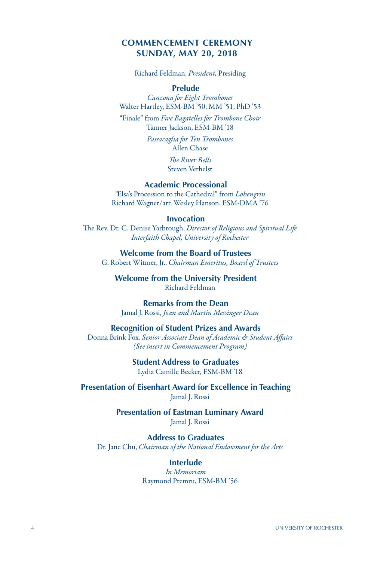# **COMMENCEMENT CEREMONY SUNDAY, MAY 20, 2018**

Richard Feldman, *President,* Presiding

### **Prelude**

*Canzona for Eight Trombones* Walter Hartley, ESM-BM '50, MM '51, PhD '53

"Finale" from *Five Bagatelles for Trombone Choir* Tanner Jackson, ESM-BM '18

> *Passacaglia for Ten Trombones* Allen Chase

> > *The River Bells* Steven Verhelst

## **Academic Processional**

*"*Elsa's Procession to the Cathedral" from *Lohengrin* Richard Wagner/arr. Wesley Hanson, ESM-DMA '76

#### **Invocation**

The Rev. Dr. C. Denise Yarbrough, *Director of Religious and Spiritual Life Interfaith Chapel, University of Rochester*

**Welcome from the Board of Trustees** G. Robert Witmer, Jr., *Chairman Emeritus, Board of Trustees*

**Welcome from the University President** Richard Feldman

**Remarks from the Dean** Jamal J. Rossi, *Joan and Martin Messinger Dean*

#### **Recognition of Student Prizes and Awards**

Donna Brink Fox, *Senior Associate Dean of Academic & Student Affairs (See insert in Commencement Program)*

> **Student Address to Graduates** Lydia Camille Becker, ESM-BM '18

**Presentation of Eisenhart Award for Excellence in Teaching** Jamal J. Rossi

> **Presentation of Eastman Luminary Award** Jamal J. Rossi

**Address to Graduates** Dr. Jane Chu, *Chairman of the National Endowment for the Arts*

> **Interlude** *In Memoriam* Raymond Premru, ESM-BM '56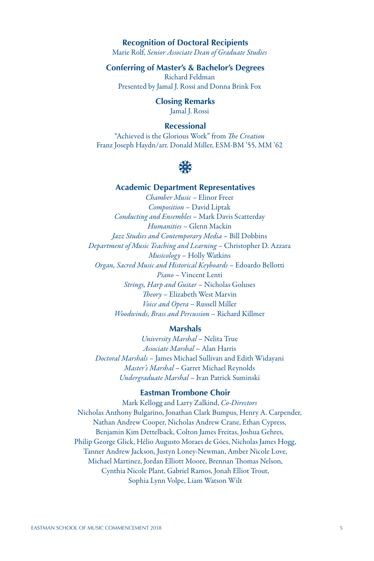# **Recognition of Doctoral Recipients**

Marie Rolf, *Senior Associate Dean of Graduate Studies*

**Conferring of Master's & Bachelor's Degrees** Richard Feldman

Presented by Jamal J. Rossi and Donna Brink Fox

**Closing Remarks** Jamal J. Rossi

# **Recessional**

"Achieved is the Glorious Work" from *The Creation* Franz Joseph Haydn/arr. Donald Miller, ESM-BM '55, MM '62



# **Academic Department Representatives**

*Chamber Music* – Elinor Freer *Composition* – David Liptak *Conducting and Ensembles* – Mark Davis Scatterday *Humanities* – Glenn Mackin *Jazz Studies and Contemporary Media* – Bill Dobbins *Department of Music Teaching and Learning* – Christopher D. Azzara *Musicology* – Holly Watkins *Organ, Sacred Music and Historical Keyboards* – Edoardo Bellotti *Piano* – Vincent Lenti *Strings, Harp and Guitar* – Nicholas Goluses *Theory* – Elizabeth West Marvin *Voice and Opera* – Russell Miller *Woodwinds, Brass and Percussion* – Richard Killmer

#### **Marshals**

*University Marshal* – Nelita True *Associate Marshal* – Alan Harris *Doctoral Marshals* – James Michael Sullivan and Edith Widayani *Master's Marshal* – Garret Michael Reynolds *Undergraduate Marshal* – Ivan Patrick Suminski

#### **Eastman Trombone Choir**

Mark Kellogg and Larry Zalkind, *Co-Directors* Nicholas Anthony Bulgarino, Jonathan Clark Bumpus, Henry A. Carpender, Nathan Andrew Cooper, Nicholas Andrew Crane, Ethan Cypress, Benjamin Kim Dettelback, Colton James Freitas, Joshua Gehres, Philip George Glick, Hélio Augusto Moraes de Góes, Nicholas James Hogg, Tanner Andrew Jackson, Justyn Loney-Newman, Amber Nicole Love, Michael Martinez, Jordan Elliott Moore, Brennan Thomas Nelson, Cynthia Nicole Plant, Gabriel Ramos, Jonah Elliot Trout, Sophia Lynn Volpe, Liam Watson Wilt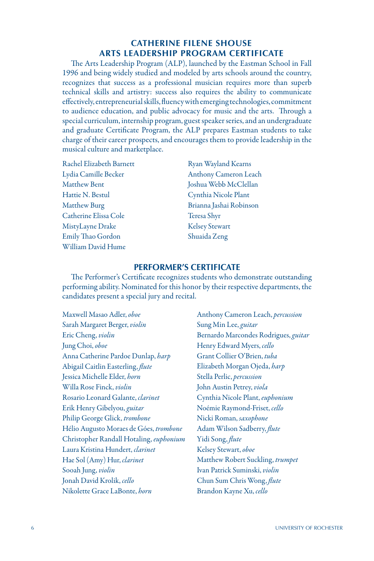# **CATHERINE FILENE SHOUSE ARTS LEADERSHIP PROGRAM CERTIFICATE**

The Arts Leadership Program (ALP), launched by the Eastman School in Fall 1996 and being widely studied and modeled by arts schools around the country, recognizes that success as a professional musician requires more than superb technical skills and artistry: success also requires the ability to communicate effectively, entrepreneurial skills, fluency with emerging technologies, commitment to audience education, and public advocacy for music and the arts. Through a special curriculum, internship program, guest speaker series, and an undergraduate and graduate Certificate Program, the ALP prepares Eastman students to take charge of their career prospects, and encourages them to provide leadership in the musical culture and marketplace.

Rachel Elizabeth Barnett Ryan Wayland Kearns Matthew Bent Joshua Webb McClellan Hattie N. Bestul Cynthia Nicole Plant Matthew Burg Brianna Jashai Robinson Catherine Elissa Cole Teresa Shyr MistyLayne Drake Kelsey Stewart Emily Thao Gordon Shuaida Zeng William David Hume

Lydia Camille Becker Anthony Cameron Leach

### **PERFORMER'S CERTIFICATE**

The Performer's Certificate recognizes students who demonstrate outstanding performing ability. Nominated for this honor by their respective departments, the candidates present a special jury and recital.

Maxwell Masao Adler, *oboe* Sarah Margaret Berger, *violin* Eric Cheng, *violin* Jung Choi, *oboe* Anna Catherine Pardoe Dunlap, *harp* Abigail Caitlin Easterling, *flute* Jessica Michelle Elder, *horn* Willa Rose Finck, *violin* Rosario Leonard Galante, *clarinet* Erik Henry Gibelyou, *guitar* Philip George Glick, *trombone* Hélio Augusto Moraes de Góes, *trombone* Christopher Randall Hotaling, *euphonium* Laura Kristina Hundert, *clarinet* Hae Sol (Amy) Hur, *clarinet* Sooah Jung, *violin* Jonah David Krolik, *cello* Nikolette Grace LaBonte, *horn*

Anthony Cameron Leach, *percussion* Sung Min Lee, *guitar* Bernardo Marcondes Rodrigues, *guitar* Henry Edward Myers, *cello* Grant Collier O'Brien, *tuba* Elizabeth Morgan Ojeda, *harp* Stella Perlic, *percussion* John Austin Petrey, *viola* Cynthia Nicole Plant, *euphonium* Noémie Raymond-Friset, *cello* Nicki Roman, *saxophone* Adam Wilson Sadberry, *flute* Yidi Song, *flute* Kelsey Stewart, *oboe* Matthew Robert Suckling, *trumpet* Ivan Patrick Suminski, *violin* Chun Sum Chris Wong, *flute* Brandon Kayne Xu, *cello*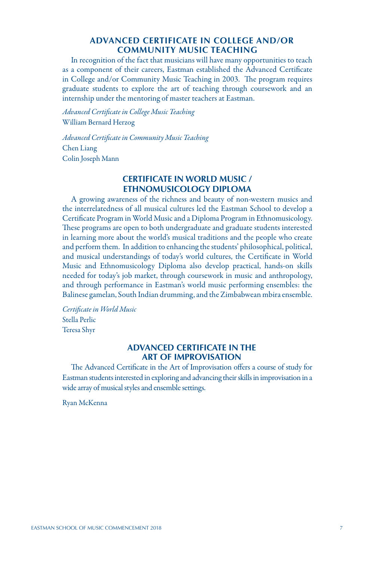# **ADVANCED CERTIFICATE IN COLLEGE AND/OR COMMUNITY MUSIC TEACHING**

In recognition of the fact that musicians will have many opportunities to teach as a component of their careers, Eastman established the Advanced Certificate in College and/or Community Music Teaching in 2003. The program requires graduate students to explore the art of teaching through coursework and an internship under the mentoring of master teachers at Eastman.

*Advanced Certificate in College Music Teaching* William Bernard Herzog

*Advanced Certificate in Community Music Teaching* Chen Liang Colin Joseph Mann

# **CERTIFICATE IN WORLD MUSIC / ETHNOMUSICOLOGY DIPLOMA**

A growing awareness of the richness and beauty of non-western musics and the interrelatedness of all musical cultures led the Eastman School to develop a Certificate Program in World Music and a Diploma Program in Ethnomusicology. These programs are open to both undergraduate and graduate students interested in learning more about the world's musical traditions and the people who create and perform them. In addition to enhancing the students' philosophical, political, and musical understandings of today's world cultures, the Certificate in World Music and Ethnomusicology Diploma also develop practical, hands-on skills needed for today's job market, through coursework in music and anthropology, and through performance in Eastman's world music performing ensembles: the Balinese gamelan, South Indian drumming, and the Zimbabwean mbira ensemble.

*Certificate in World Music* Stella Perlic Teresa Shyr

# **ADVANCED CERTIFICATE IN THE ART OF IMPROVISATION**

The Advanced Certificate in the Art of Improvisation offers a course of study for Eastman students interested in exploring and advancing their skills in improvisation in a wide array of musical styles and ensemble settings.

Ryan McKenna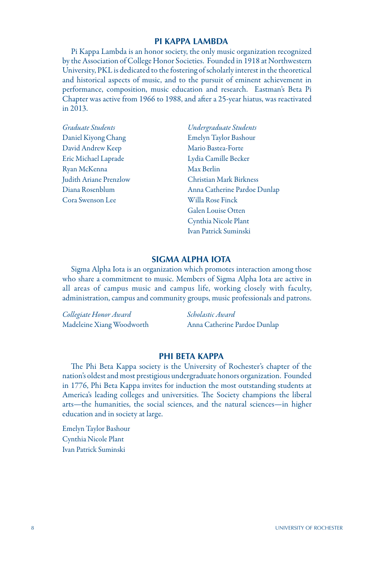#### **PI KAPPA LAMBDA**

Pi Kappa Lambda is an honor society, the only music organization recognized by the Association of College Honor Societies. Founded in 1918 at Northwestern University, PKL is dedicated to the fostering of scholarly interest in the theoretical and historical aspects of music, and to the pursuit of eminent achievement in performance, composition, music education and research. Eastman's Beta Pi Chapter was active from 1966 to 1988, and after a 25-year hiatus, was reactivated in 2013.

| Graduate Students      | Undergraduate Students       |
|------------------------|------------------------------|
| Daniel Kiyong Chang    | Emelyn Taylor Bashour        |
| David Andrew Keep      | Mario Bastea-Forte           |
| Eric Michael Laprade   | Lydia Camille Becker         |
| Ryan McKenna           | Max Berlin                   |
| Judith Ariane Prenzlow | Christian Mark Birkness      |
| Diana Rosenblum        | Anna Catherine Pardoe Dunlap |
| Cora Swenson Lee       | Willa Rose Finck             |
|                        | Galen Louise Otten           |
|                        | Cynthia Nicole Plant         |
|                        | Ivan Patrick Suminski        |

# **SIGMA ALPHA IOTA**

Sigma Alpha Iota is an organization which promotes interaction among those who share a commitment to music. Members of Sigma Alpha Iota are active in all areas of campus music and campus life, working closely with faculty, administration, campus and community groups, music professionals and patrons.

| Collegiate Honor Award    | Scholastic Award             |
|---------------------------|------------------------------|
| Madeleine Xiang Woodworth | Anna Catherine Pardoe Dunlap |

### **PHI BETA KAPPA**

The Phi Beta Kappa society is the University of Rochester's chapter of the nation's oldest and most prestigious undergraduate honors organization. Founded in 1776, Phi Beta Kappa invites for induction the most outstanding students at America's leading colleges and universities. The Society champions the liberal arts—the humanities, the social sciences, and the natural sciences—in higher education and in society at large.

Emelyn Taylor Bashour Cynthia Nicole Plant Ivan Patrick Suminski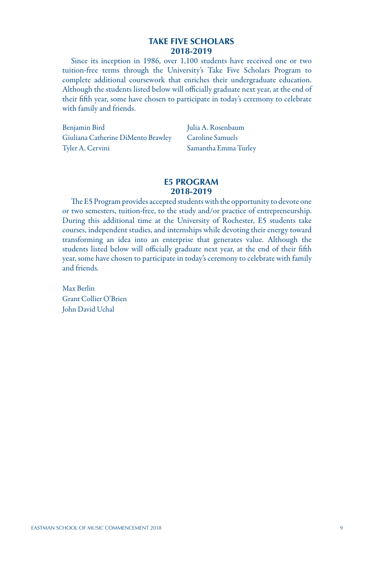### **TAKE FIVE SCHOLARS 2018-2019**

Since its inception in 1986, over 1,100 students have received one or two tuition-free terms through the University's Take Five Scholars Program to complete additional coursework that enriches their undergraduate education. Although the students listed below will officially graduate next year, at the end of their fifth year, some have chosen to participate in today's ceremony to celebrate with family and friends.

Benjamin Bird Julia A. Rosenbaum Giuliana Catherine DiMento Brawley Caroline Samuels Tyler A. Cervini Samantha Emma Turley

## **E5 PROGRAM 2018-2019**

The E5 Program provides accepted students with the opportunity to devote one or two semesters, tuition-free, to the study and/or practice of entrepreneurship. During this additional time at the University of Rochester, E5 students take courses, independent studies, and internships while devoting their energy toward transforming an idea into an enterprise that generates value. Although the students listed below will officially graduate next year, at the end of their fifth year, some have chosen to participate in today's ceremony to celebrate with family and friends.

Max Berlin Grant Collier O'Brien John David Uchal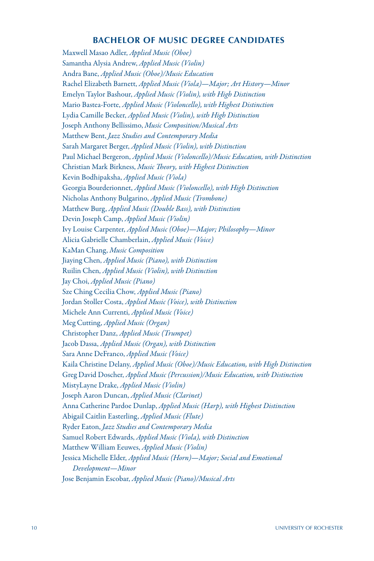### **BACHELOR OF MUSIC DEGREE CANDIDATES**

Maxwell Masao Adler, *Applied Music (Oboe)* Samantha Alysia Andrew, *Applied Music (Violin)* Andra Bane, *Applied Music (Oboe)/Music Education* Rachel Elizabeth Barnett, *Applied Music (Viola)*—*Major; Art History*—*Minor* Emelyn Taylor Bashour, *Applied Music (Violin), with High Distinction* Mario Bastea-Forte, *Applied Music (Violoncello), with Highest Distinction* Lydia Camille Becker, *Applied Music (Violin), with High Distinction* Joseph Anthony Bellissimo, *Music Composition/Musical Arts* Matthew Bent, *Jazz Studies and Contemporary Media*  Sarah Margaret Berger, *Applied Music (Violin), with Distinction* Paul Michael Bergeron, *Applied Music (Violoncello)/Music Education, with Distinction* Christian Mark Birkness, *Music Theory, with Highest Distinction* Kevin Bodhipaksha, *Applied Music (Viola)* Georgia Bourderionnet, *Applied Music (Violoncello), with High Distinction* Nicholas Anthony Bulgarino, *Applied Music (Trombone)* Matthew Burg, *Applied Music (Double Bass), with Distinction* Devin Joseph Camp, *Applied Music (Violin)* Ivy Louise Carpenter, *Applied Music (Oboe)*—*Major; Philosophy*—*Minor* Alicia Gabrielle Chamberlain, *Applied Music (Voice)* KaMan Chang, *Music Composition* Jiaying Chen, *Applied Music (Piano), with Distinction* Ruilin Chen, *Applied Music (Violin), with Distinction* Jay Choi, *Applied Music (Piano)* Sze Ching Cecilia Chow, *Applied Music (Piano)* Jordan Stoller Costa, *Applied Music (Voice), with Distinction* Michele Ann Currenti, *Applied Music (Voice)* Meg Cutting, *Applied Music (Organ)* Christopher Danz, *Applied Music (Trumpet)*  Jacob Dassa, *Applied Music (Organ), with Distinction* Sara Anne DeFranco, *Applied Music (Voice)* Kaila Christine Delany, *Applied Music (Oboe)/Music Education, with High Distinction* Greg David Doscher, *Applied Music (Percussion)/Music Education, with Distinction* MistyLayne Drake, *Applied Music (Violin)* Joseph Aaron Duncan, *Applied Music (Clarinet)*  Anna Catherine Pardoe Dunlap, *Applied Music (Harp), with Highest Distinction* Abigail Caitlin Easterling, *Applied Music (Flute)* Ryder Eaton, *Jazz Studies and Contemporary Media* Samuel Robert Edwards, *Applied Music (Viola), with Distinction* Matthew William Eeuwes, *Applied Music (Violin)* Jessica Michelle Elder, *Applied Music (Horn)*—*Major; Social and Emotional Development*—*Minor* Jose Benjamin Escobar, *Applied Music (Piano)/Musical Arts*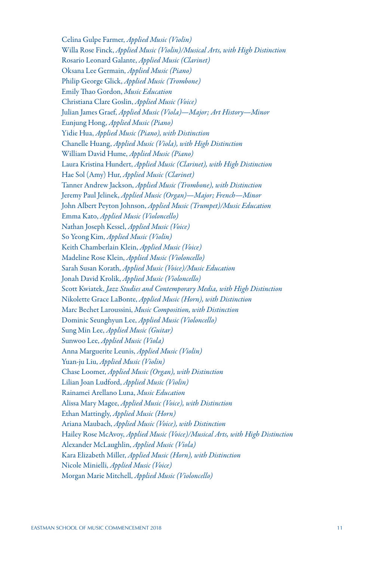Celina Gulpe Farmer, *Applied Music (Violin)* Willa Rose Finck, *Applied Music (Violin)/Musical Arts, with High Distinction* Rosario Leonard Galante, *Applied Music (Clarinet)*  Oksana Lee Germain, *Applied Music (Piano)* Philip George Glick, *Applied Music (Trombone)* Emily Thao Gordon, *Music Education* Christiana Clare Goslin, *Applied Music (Voice)* Julian James Graef, *Applied Music (Viola)*—*Major; Art History*—*Minor* Eunjung Hong, *Applied Music (Piano)* Yidie Hua, *Applied Music (Piano), with Distinction* Chanelle Huang, *Applied Music (Viola), with High Distinction* William David Hume, *Applied Music (Piano)* Laura Kristina Hundert, *Applied Music (Clarinet), with High Distinction* Hae Sol (Amy) Hur, *Applied Music (Clarinet)* Tanner Andrew Jackson, *Applied Music (Trombone), with Distinction* Jeremy Paul Jelinek, *Applied Music (Organ)*—*Major; French*—*Minor*  John Albert Peyton Johnson, *Applied Music (Trumpet)/Music Education* Emma Kato, *Applied Music (Violoncello)* Nathan Joseph Kessel, *Applied Music (Voice)* So Yeong Kim, *Applied Music (Violin)* Keith Chamberlain Klein, *Applied Music (Voice)* Madeline Rose Klein, *Applied Music (Violoncello)* Sarah Susan Korath, *Applied Music (Voice)/Music Education*  Jonah David Krolik, *Applied Music (Violoncello)* Scott Kwiatek, *Jazz Studies and Contemporary Media, with High Distinction* Nikolette Grace LaBonte, *Applied Music (Horn), with Distinction* Marc Bechet Laroussini, *Music Composition, with Distinction* Dominic Seunghyun Lee, *Applied Music (Violoncello)* Sung Min Lee, *Applied Music (Guitar)* Sunwoo Lee, *Applied Music (Viola)*  Anna Marguerite Leunis, *Applied Music (Violin)* Yuan-ju Liu, *Applied Music (Violin)* Chase Loomer, *Applied Music (Organ), with Distinction* Lilian Joan Ludford, *Applied Music (Violin)* Rainamei Arellano Luna, *Music Education* Alissa Mary Magee, *Applied Music (Voice), with Distinction* Ethan Mattingly, *Applied Music (Horn)*  Ariana Maubach, *Applied Music (Voice), with Distinction* Hailey Rose McAvoy, *Applied Music (Voice)/Musical Arts, with High Distinction* Alexander McLaughlin, *Applied Music (Viola)* Kara Elizabeth Miller, *Applied Music (Horn), with Distinction* Nicole Minielli, *Applied Music (Voice)* Morgan Marie Mitchell, *Applied Music (Violoncello)*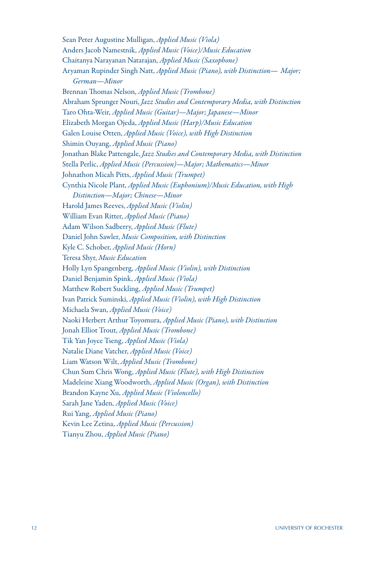Sean Peter Augustine Mulligan, *Applied Music (Viola)* Anders Jacob Namestnik, *Applied Music (Voice)/Music Education* Chaitanya Narayanan Natarajan, *Applied Music (Saxophone)* Aryaman Rupinder Singh Natt, *Applied Music (Piano), with Distinction*— *Major; German*—*Minor* Brennan Thomas Nelson, *Applied Music (Trombone)* Abraham Sprunger Nouri, *Jazz Studies and Contemporary Media, with Distinction* Taro Ohta-Weir, *Applied Music (Guitar)—Major; Japanese—Minor* Elizabeth Morgan Ojeda, *Applied Music (Harp)/Music Education* Galen Louise Otten, *Applied Music (Voice), with High Distinction* Shimin Ouyang, *Applied Music (Piano)* Jonathan Blake Pattengale, *Jazz Studies and Contemporary Media, with Distinction* Stella Perlic, *Applied Music (Percussion)*—*Major; Mathematics*—*Minor* Johnathon Micah Pitts, *Applied Music (Trumpet)* Cynthia Nicole Plant, *Applied Music (Euphonium)/Music Education, with High Distinction*—*Major; Chinese*—*Minor* Harold James Reeves, *Applied Music (Violin)* William Evan Ritter, *Applied Music (Piano)* Adam Wilson Sadberry, *Applied Music (Flute)* Daniel John Sawler, *Music Composition, with Distinction* Kyle C. Schober, *Applied Music (Horn)* Teresa Shyr, *Music Education* Holly Lyn Spangenberg, *Applied Music (Violin), with Distinction* Daniel Benjamin Spink, *Applied Music (Viola)* Matthew Robert Suckling, *Applied Music (Trumpet)* Ivan Patrick Suminski, *Applied Music (Violin), with High Distinction* Michaela Swan, *Applied Music (Voice)* Naoki Herbert Arthur Toyomura, *Applied Music (Piano), with Distinction* Jonah Elliot Trout, *Applied Music (Trombone)* Tik Yan Joyce Tseng, *Applied Music (Viola)* Natalie Diane Vatcher, *Applied Music (Voice)* Liam Watson Wilt, *Applied Music (Trombone)* Chun Sum Chris Wong, *Applied Music (Flute), with High Distinction* Madeleine Xiang Woodworth, *Applied Music (Organ), with Distinction* Brandon Kayne Xu, *Applied Music (Violoncello)* Sarah Jane Yaden, *Applied Music (Voice)* Rui Yang, *Applied Music (Piano)* Kevin Lee Zetina, *Applied Music (Percussion)* Tianyu Zhou, *Applied Music (Piano)*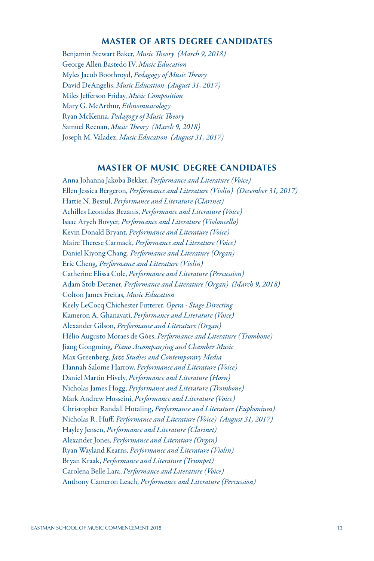# **MASTER OF ARTS DEGREE CANDIDATES**

Benjamin Stewart Baker, *Music Theory (March 9, 2018)* George Allen Bastedo IV, *Music Education* Myles Jacob Boothroyd, *Pedagogy of Music Theory* David DeAngelis, *Music Education (August 31, 2017)* Miles Jefferson Friday, *Music Composition* Mary G. McArthur, *Ethnomusicology* Ryan McKenna, *Pedagogy of Music Theory* Samuel Reenan, *Music Theory (March 9, 2018)* Joseph M. Valadez, *Music Education (August 31, 2017)*

# **MASTER OF MUSIC DEGREE CANDIDATES**

Anna Johanna Jakoba Bekker, *Performance and Literature (Voice)* Ellen Jessica Bergeron, *Performance and Literature (Violin) (December 31, 2017)* Hattie N. Bestul, *Performance and Literature (Clarinet)* Achilles Leonidas Bezanis, *Performance and Literature (Voice)* Isaac Aryeh Bovyer, *Performance and Literature (Violoncello)* Kevin Donald Bryant, *Performance and Literature (Voice)* Maire Therese Carmack, *Performance and Literature (Voice)* Daniel Kiyong Chang, *Performance and Literature (Organ)* Eric Cheng, *Performance and Literature (Violin)* Catherine Elissa Cole, *Performance and Literature (Percussion)* Adam Stob Detzner, *Performance and Literature (Organ) (March 9, 2018)* Colton James Freitas, *Music Education* Keely LeCocq Chichester Futterer, *Opera - Stage Directing* Kameron A. Ghanavati, *Performance and Literature (Voice)* Alexander Gilson, *Performance and Literature (Organ)* Hélio Augusto Moraes de Góes, *Performance and Literature (Trombone)* Jiang Gongming, *Piano Accompanying and Chamber Music* Max Greenberg, *Jazz Studies and Contemporary Media* Hannah Salome Harrow, *Performance and Literature (Voice)* Daniel Martin Hively, *Performance and Literature (Horn)* Nicholas James Hogg, *Performance and Literature (Trombone)* Mark Andrew Hosseini, *Performance and Literature (Voice)* Christopher Randall Hotaling, *Performance and Literature (Euphonium)* Nicholas R. Huff, *Performance and Literature (Voice) (August 31, 2017)* Hayley Jensen, *Performance and Literature (Clarinet)* Alexander Jones, *Performance and Literature (Organ)* Ryan Wayland Kearns, *Performance and Literature (Violin)* Bryan Kraak, *Performance and Literature (Trumpet)* Carolena Belle Lara, *Performance and Literature (Voice)* Anthony Cameron Leach, *Performance and Literature (Percussion)*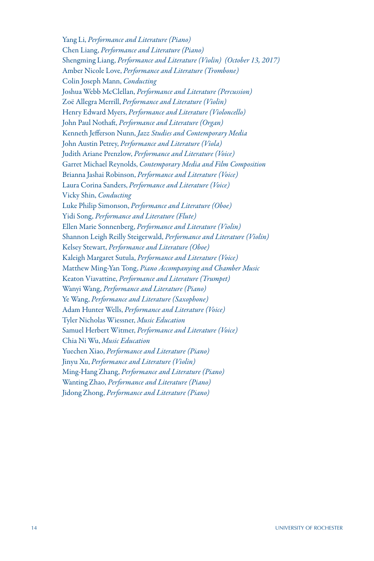Yang Li, *Performance and Literature (Piano)* Chen Liang, *Performance and Literature (Piano)* Shengming Liang, *Performance and Literature (Violin) (October 13, 2017)* Amber Nicole Love, *Performance and Literature (Trombone)*  Colin Joseph Mann, *Conducting* Joshua Webb McClellan, *Performance and Literature (Percussion)* Zoë Allegra Merrill, *Performance and Literature (Violin)* Henry Edward Myers, *Performance and Literature (Violoncello)* John Paul Nothaft, *Performance and Literature (Organ)* Kenneth Jefferson Nunn, *Jazz Studies and Contemporary Media* John Austin Petrey, *Performance and Literature (Viola)* Judith Ariane Prenzlow, *Performance and Literature (Voice)* Garret Michael Reynolds, *Contemporary Media and Film Composition* Brianna Jashai Robinson, *Performance and Literature (Voice)* Laura Corina Sanders, *Performance and Literature (Voice)* Vicky Shin, *Conducting* Luke Philip Simonson, *Performance and Literature (Oboe)* Yidi Song, *Performance and Literature (Flute)* Ellen Marie Sonnenberg, *Performance and Literature (Violin)* Shannon Leigh Reilly Steigerwald, *Performance and Literature (Violin)* Kelsey Stewart, *Performance and Literature (Oboe)* Kaleigh Margaret Sutula, *Performance and Literature (Voice)* Matthew Ming-Yan Tong, *Piano Accompanying and Chamber Music* Keaton Viavattine, *Performance and Literature (Trumpet)* Wanyi Wang, *Performance and Literature (Piano)* Ye Wang, *Performance and Literature (Saxophone)* Adam Hunter Wells, *Performance and Literature (Voice)* Tyler Nicholas Wiessner, *Music Education* Samuel Herbert Witmer, *Performance and Literature (Voice)* Chia Ni Wu, *Music Education* Yuechen Xiao, *Performance and Literature (Piano)* Jinyu Xu, *Performance and Literature (Violin)* Ming-Hang Zhang, *Performance and Literature (Piano)* Wanting Zhao, *Performance and Literature (Piano)* Jidong Zhong, *Performance and Literature (Piano)*